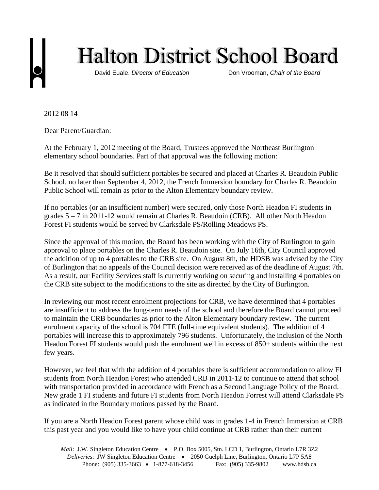

2012 08 14

Dear Parent/Guardian:

At the February 1, 2012 meeting of the Board, Trustees approved the Northeast Burlington elementary school boundaries. Part of that approval was the following motion:

Be it resolved that should sufficient portables be secured and placed at Charles R. Beaudoin Public School, no later than September 4, 2012, the French Immersion boundary for Charles R. Beaudoin Public School will remain as prior to the Alton Elementary boundary review.

If no portables (or an insufficient number) were secured, only those North Headon FI students in grades 5 – 7 in 2011-12 would remain at Charles R. Beaudoin (CRB). All other North Headon Forest FI students would be served by Clarksdale PS/Rolling Meadows PS.

Since the approval of this motion, the Board has been working with the City of Burlington to gain approval to place portables on the Charles R. Beaudoin site. On July 16th, City Council approved the addition of up to 4 portables to the CRB site. On August 8th, the HDSB was advised by the City of Burlington that no appeals of the Council decision were received as of the deadline of August 7th. As a result, our Facility Services staff is currently working on securing and installing 4 portables on the CRB site subject to the modifications to the site as directed by the City of Burlington.

In reviewing our most recent enrolment projections for CRB, we have determined that 4 portables are insufficient to address the long-term needs of the school and therefore the Board cannot proceed to maintain the CRB boundaries as prior to the Alton Elementary boundary review. The current enrolment capacity of the school is 704 FTE (full-time equivalent students). The addition of 4 portables will increase this to approximately 796 students. Unfortunately, the inclusion of the North Headon Forest FI students would push the enrolment well in excess of 850+ students within the next few years.

However, we feel that with the addition of 4 portables there is sufficient accommodation to allow FI students from North Headon Forest who attended CRB in 2011-12 to continue to attend that school with transportation provided in accordance with French as a Second Language Policy of the Board. New grade 1 FI students and future FI students from North Headon Forrest will attend Clarksdale PS as indicated in the Boundary motions passed by the Board.

If you are a North Headon Forest parent whose child was in grades 1-4 in French Immersion at CRB this past year and you would like to have your child continue at CRB rather than their current